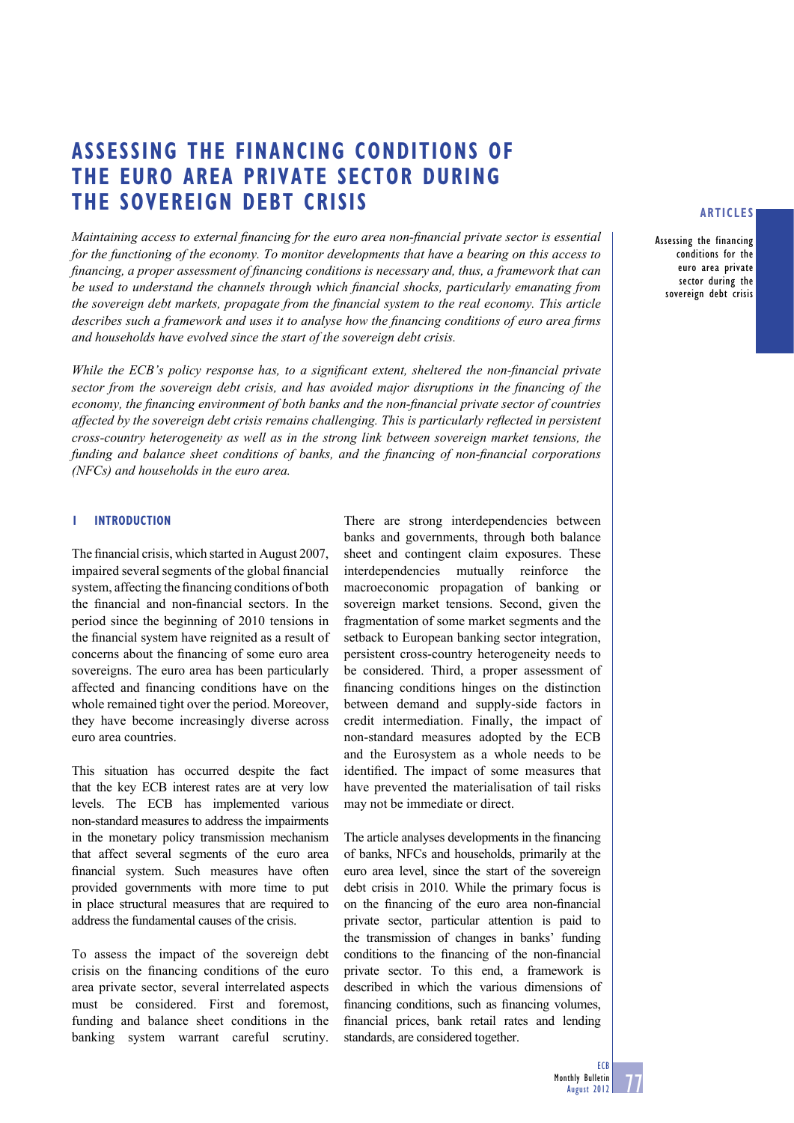# **ASSESSING THE FINANCING CONDITIONS OF THE EURO AREA PRIVATE SECTOR DURING THE SOVEREIGN DEBT CRISIS**

*Maintaining access to external financing for the euro area non-financial private sector is essential for the functioning of the economy. To monitor developments that have a bearing on this access to financing, a proper assessment of financing conditions is necessary and, thus, a framework that can* be used to understand the channels through which financial shocks, particularly emanating from *the sovereign debt markets, propagate from the financial system to the real economy. This article describes such a framework and uses it to analyse how the financing conditions of euro area firms and households have evolved since the start of the sovereign debt crisis.* 

*While the ECB's policy response has, to a significant extent, sheltered the non-financial private* sector from the sovereign debt crisis, and has avoided major disruptions in the financing of the *economy, the financing environment of both banks and the non-financial private sector of countries affected by the sovereign debt crisis remains challenging. This is particularly reflected in persistent cross-country heterogeneity as well as in the strong link between sovereign market tensions, the funding and balance sheet conditions of banks, and the financing of non-financial corporations (NFCs) and households in the euro area.* 

#### **1 INTRODUCTION**

The financial crisis, which started in August 2007. impaired several segments of the global financial system, affecting the financing conditions of both the financial and non-financial sectors. In the period since the beginning of 2010 tensions in the financial system have reignited as a result of concerns about the financing of some euro area sovereigns. The euro area has been particularly affected and financing conditions have on the whole remained tight over the period. Moreover, they have become increasingly diverse across euro area countries.

This situation has occurred despite the fact that the key ECB interest rates are at very low levels. The ECB has implemented various non-standard measures to address the impairments in the monetary policy transmission mechanism that affect several segments of the euro area financial system. Such measures have often provided governments with more time to put in place structural measures that are required to address the fundamental causes of the crisis.

To assess the impact of the sovereign debt crisis on the financing conditions of the euro area private sector, several interrelated aspects must be considered. First and foremost, funding and balance sheet conditions in the banking system warrant careful scrutiny.

There are strong interdependencies between banks and governments, through both balance sheet and contingent claim exposures. These interdependencies mutually reinforce the macroeconomic propagation of banking or sovereign market tensions. Second, given the fragmentation of some market segments and the setback to European banking sector integration, persistent cross-country heterogeneity needs to be considered. Third, a proper assessment of financing conditions hinges on the distinction between demand and supply-side factors in credit intermediation. Finally, the impact of non-standard measures adopted by the ECB and the Eurosystem as a whole needs to be identified. The impact of some measures that have prevented the materialisation of tail risks may not be immediate or direct.

The article analyses developments in the financing of banks, NFCs and households, primarily at the euro area level, since the start of the sovereign debt crisis in 2010. While the primary focus is on the financing of the euro area non-financial private sector, particular attention is paid to the transmission of changes in banks' funding conditions to the financing of the non-financial private sector. To this end, a framework is described in which the various dimensions of financing conditions, such as financing volumes, financial prices, bank retail rates and lending standards, are considered together.

## **ARTICLES**

Assessing the financing conditions for the euro area private sector during the sovereign debt crisis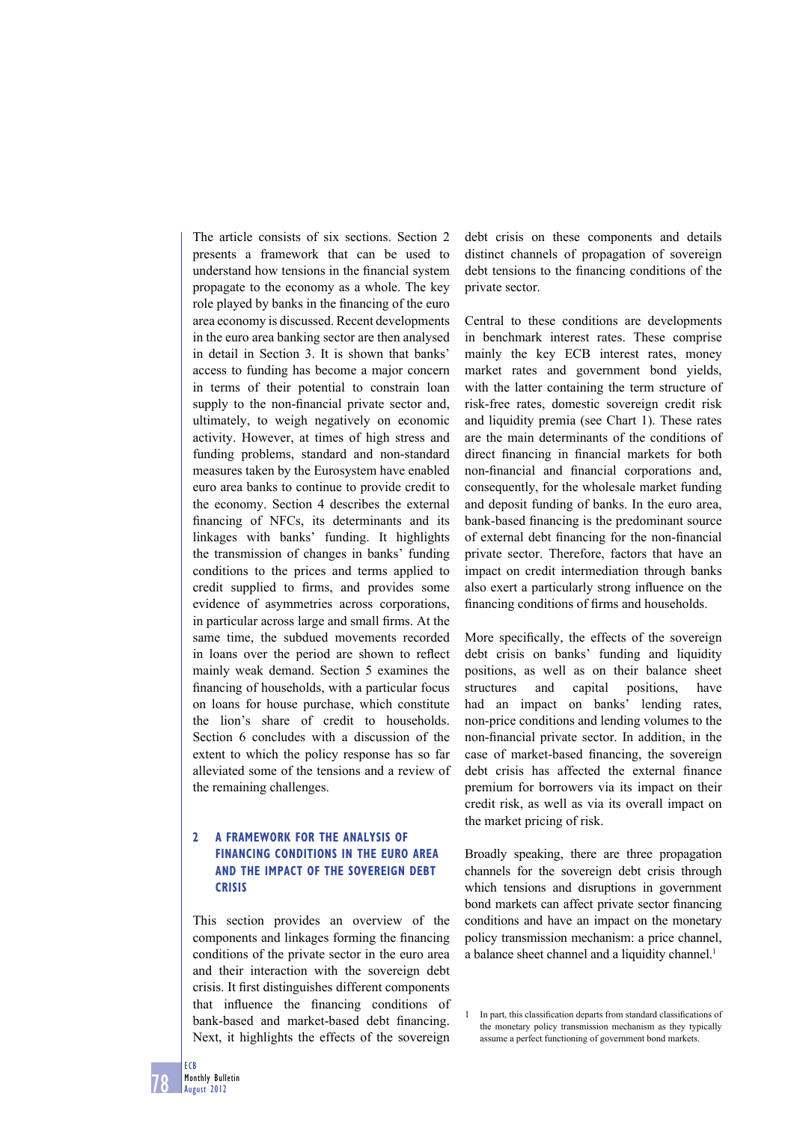The article consists of six sections. Section 2 presents a framework that can be used to understand how tensions in the financial system propagate to the economy as a whole. The key role played by banks in the financing of the euro area economy is discussed. Recent developments in the euro area banking sector are then analysed in detail in Section 3. It is shown that banks' access to funding has become a major concern in terms of their potential to constrain loan supply to the non-financial private sector and. ultimately, to weigh negatively on economic activity. However, at times of high stress and funding problems, standard and non-standard measures taken by the Eurosystem have enabled euro area banks to continue to provide credit to the economy. Section 4 describes the external financing of NFCs, its determinants and its linkages with banks' funding. It highlights the transmission of changes in banks' funding conditions to the prices and terms applied to credit supplied to firms, and provides some evidence of asymmetries across corporations, in particular across large and small firms. At the same time, the subdued movements recorded in loans over the period are shown to reflect mainly weak demand. Section 5 examines the financing of households, with a particular focus on loans for house purchase, which constitute the lion's share of credit to households. Section 6 concludes with a discussion of the extent to which the policy response has so far alleviated some of the tensions and a review of the remaining challenges.

## **2 A FRAMEWORK FOR THE ANALYSIS OF FINANCING CONDITIONS IN THE EURO AREA AND THE IMPACT OF THE SOVEREIGN DEBT CRISIS**

This section provides an overview of the components and linkages forming the financing conditions of the private sector in the euro area and their interaction with the sovereign debt crisis. It first distinguishes different components that influence the financing conditions of bank-based and market-based debt financing. Next, it highlights the effects of the sovereign debt crisis on these components and details distinct channels of propagation of sovereign debt tensions to the financing conditions of the private sector.

Central to these conditions are developments in benchmark interest rates. These comprise mainly the key ECB interest rates, money market rates and government bond yields, with the latter containing the term structure of risk-free rates, domestic sovereign credit risk and liquidity premia (see Chart 1). These rates are the main determinants of the conditions of direct financing in financial markets for both non-financial and financial corporations and, consequently, for the wholesale market funding and deposit funding of banks. In the euro area, bank-based financing is the predominant source of external debt financing for the non-financial private sector. Therefore, factors that have an impact on credit intermediation through banks also exert a particularly strong influence on the financing conditions of firms and households.

More specifically, the effects of the sovereign debt crisis on banks' funding and liquidity positions, as well as on their balance sheet structures and capital positions, have had an impact on banks' lending rates, non-price conditions and lending volumes to the non-financial private sector. In addition, in the case of market-based financing, the sovereign debt crisis has affected the external finance premium for borrowers via its impact on their credit risk, as well as via its overall impact on the market pricing of risk.

Broadly speaking, there are three propagation channels for the sovereign debt crisis through which tensions and disruptions in government bond markets can affect private sector financing conditions and have an impact on the monetary policy transmission mechanism: a price channel, a balance sheet channel and a liquidity channel.<sup>1</sup>

<sup>1</sup> In part, this classification departs from standard classifications of the monetary policy transmission mechanism as they typically assume a perfect functioning of government bond markets.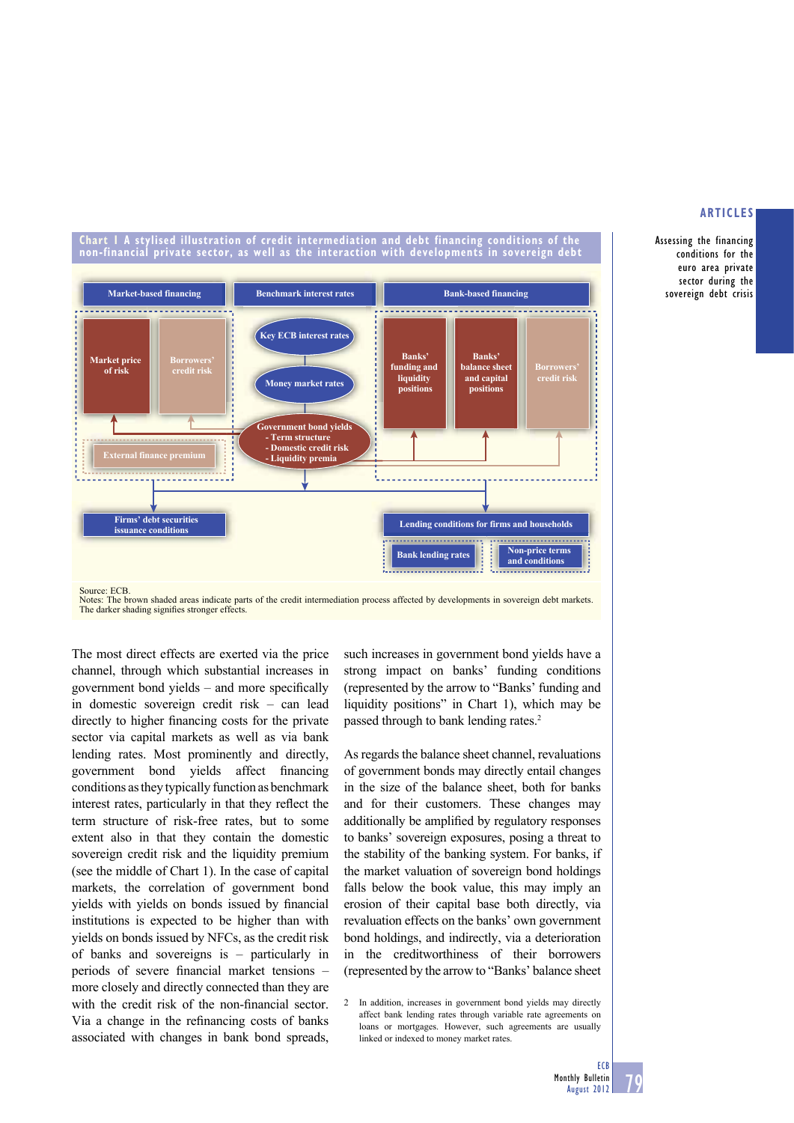Assessing the financing conditions for the euro area private sector during the sovereign debt crisis

#### **Chart 1 A stylised illustration of credit intermediation and debt financing conditions of the non-financial private sector, as well as the interaction with developments in sovereign debt**



Notes: The brown shaded areas indicate parts of the credit intermediation process affected by developments in sovereign debt markets. The darker shading signifies stronger effects.

The most direct effects are exerted via the price channel, through which substantial increases in government bond yields  $-$  and more specifically in domestic sovereign credit risk – can lead directly to higher financing costs for the private sector via capital markets as well as via bank lending rates. Most prominently and directly, government bond yields affect financing conditions as they typically function as benchmark interest rates, particularly in that they reflect the term structure of risk-free rates, but to some extent also in that they contain the domestic sovereign credit risk and the liquidity premium (see the middle of Chart 1). In the case of capital markets, the correlation of government bond yields with yields on bonds issued by financial institutions is expected to be higher than with yields on bonds issued by NFCs, as the credit risk of banks and sovereigns is – particularly in periods of severe financial market tensions more closely and directly connected than they are with the credit risk of the non-financial sector. Via a change in the refinancing costs of banks associated with changes in bank bond spreads,

such increases in government bond yields have a strong impact on banks' funding conditions (represented by the arrow to "Banks' funding and liquidity positions" in Chart 1), which may be passed through to bank lending rates.2

As regards the balance sheet channel, revaluations of government bonds may directly entail changes in the size of the balance sheet, both for banks and for their customers. These changes may additionally be amplified by regulatory responses to banks' sovereign exposures, posing a threat to the stability of the banking system. For banks, if the market valuation of sovereign bond holdings falls below the book value, this may imply an erosion of their capital base both directly, via revaluation effects on the banks' own government bond holdings, and indirectly, via a deterioration in the creditworthiness of their borrowers (represented by the arrow to "Banks' balance sheet

2 In addition, increases in government bond yields may directly affect bank lending rates through variable rate agreements on loans or mortgages. However, such agreements are usually linked or indexed to money market rates.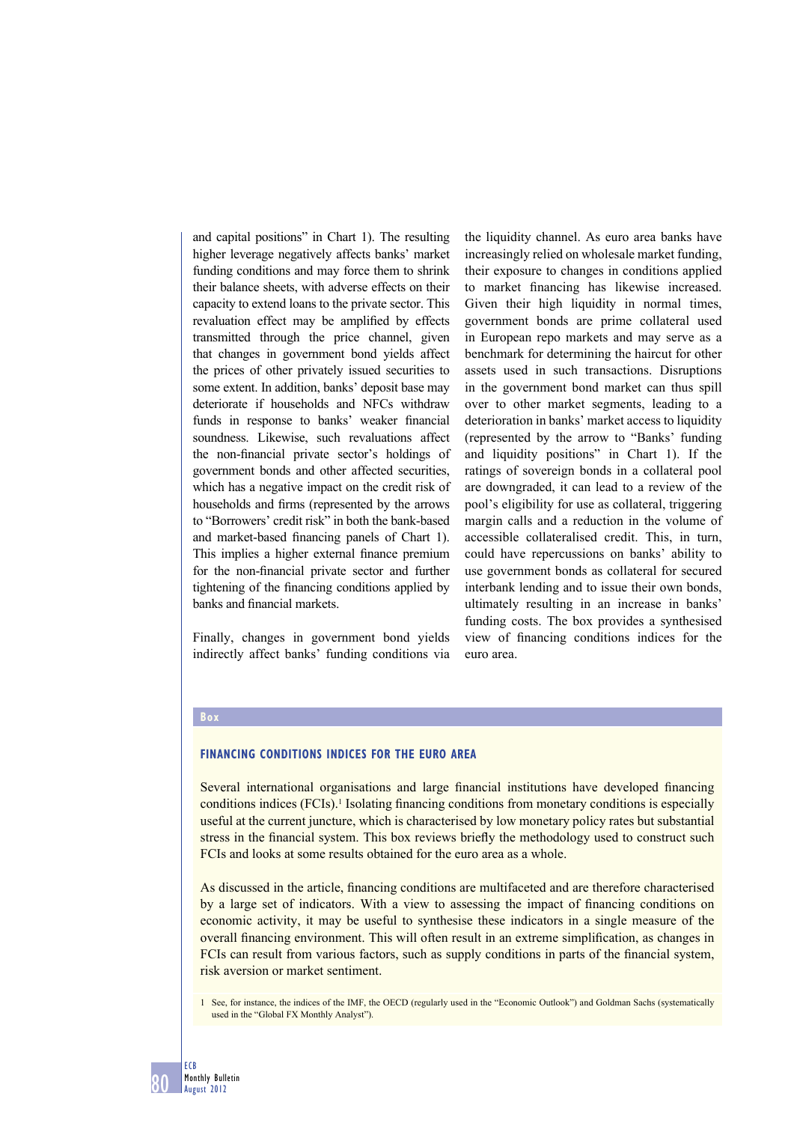and capital positions" in Chart 1). The resulting higher leverage negatively affects banks' market funding conditions and may force them to shrink their balance sheets, with adverse effects on their capacity to extend loans to the private sector. This revaluation effect may be amplified by effects transmitted through the price channel, given that changes in government bond yields affect the prices of other privately issued securities to some extent. In addition, banks' deposit base may deteriorate if households and NFCs withdraw funds in response to banks' weaker financial soundness. Likewise, such revaluations affect the non-financial private sector's holdings of government bonds and other affected securities, which has a negative impact on the credit risk of households and firms (represented by the arrows to "Borrowers' credit risk" in both the bank-based and market-based financing panels of Chart 1). This implies a higher external finance premium for the non-financial private sector and further tightening of the financing conditions applied by banks and financial markets.

Finally, changes in government bond yields indirectly affect banks' funding conditions via the liquidity channel. As euro area banks have increasingly relied on wholesale market funding, their exposure to changes in conditions applied to market financing has likewise increased. Given their high liquidity in normal times, government bonds are prime collateral used in European repo markets and may serve as a benchmark for determining the haircut for other assets used in such transactions. Disruptions in the government bond market can thus spill over to other market segments, leading to a deterioration in banks' market access to liquidity (represented by the arrow to "Banks' funding and liquidity positions" in Chart 1). If the ratings of sovereign bonds in a collateral pool are downgraded, it can lead to a review of the pool's eligibility for use as collateral, triggering margin calls and a reduction in the volume of accessible collateralised credit. This, in turn, could have repercussions on banks' ability to use government bonds as collateral for secured interbank lending and to issue their own bonds, ultimately resulting in an increase in banks' funding costs. The box provides a synthesised view of financing conditions indices for the euro area.

#### **Box**

#### **FINANCING CONDITIONS INDICES FOR THE EURO AREA**

Several international organisations and large financial institutions have developed financing conditions indices  $(FCIs)$ .<sup>1</sup> Isolating financing conditions from monetary conditions is especially useful at the current juncture, which is characterised by low monetary policy rates but substantial stress in the financial system. This box reviews briefly the methodology used to construct such FCIs and looks at some results obtained for the euro area as a whole.

As discussed in the article, financing conditions are multifaceted and are therefore characterised by a large set of indicators. With a view to assessing the impact of financing conditions on economic activity, it may be useful to synthesise these indicators in a single measure of the overall financing environment. This will often result in an extreme simplification, as changes in FCIs can result from various factors, such as supply conditions in parts of the financial system, risk aversion or market sentiment.

1 See, for instance, the indices of the IMF, the OECD (regularly used in the "Economic Outlook") and Goldman Sachs (systematically used in the "Global FX Monthly Analyst").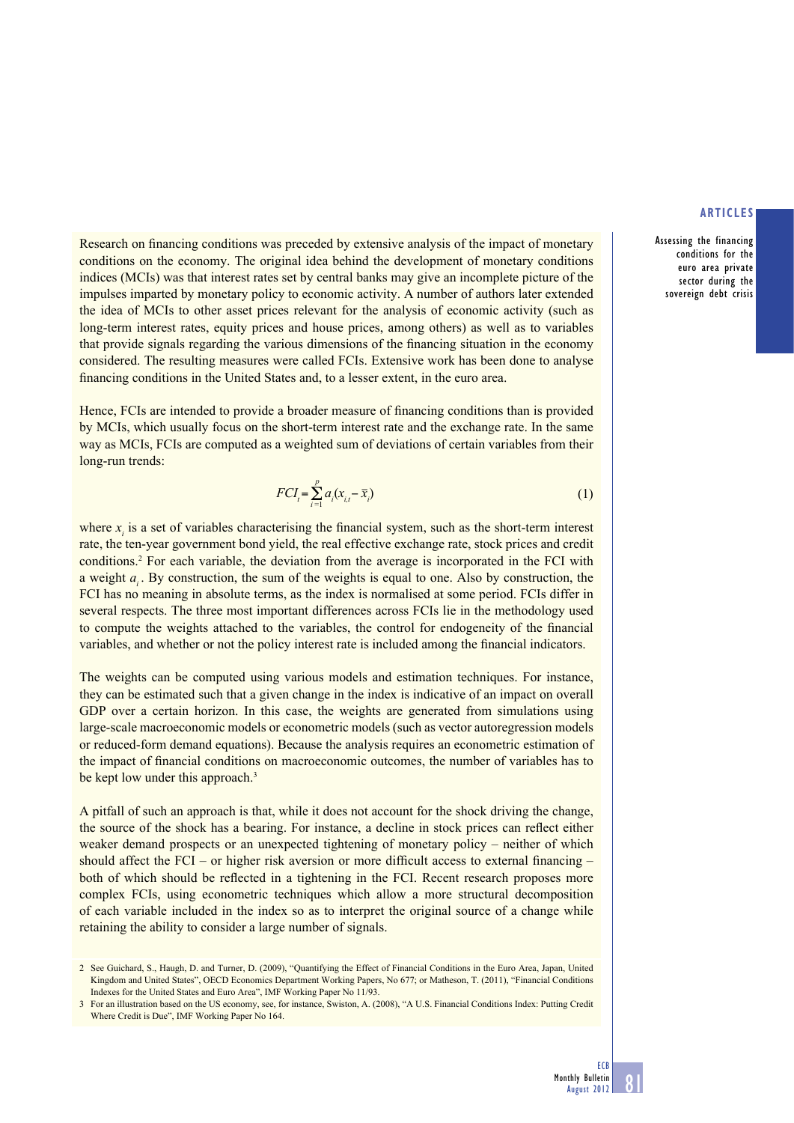Assessing the financing conditions for the euro area private sector during the sovereign debt crisis

Research on financing conditions was preceded by extensive analysis of the impact of monetary conditions on the economy. The original idea behind the development of monetary conditions indices (MCIs) was that interest rates set by central banks may give an incomplete picture of the impulses imparted by monetary policy to economic activity. A number of authors later extended the idea of MCIs to other asset prices relevant for the analysis of economic activity (such as long-term interest rates, equity prices and house prices, among others) as well as to variables that provide signals regarding the various dimensions of the financing situation in the economy considered. The resulting measures were called FCIs. Extensive work has been done to analyse financing conditions in the United States and, to a lesser extent, in the euro area.

Hence, FCIs are intended to provide a broader measure of financing conditions than is provided by MCIs, which usually focus on the short-term interest rate and the exchange rate. In the same way as MCIs, FCIs are computed as a weighted sum of deviations of certain variables from their long-run trends:

$$
FCI_t = \sum_{i=1}^p a_i (x_{i,t} - \overline{x}_i)
$$
\n(1)

where  $x_i$  is a set of variables characterising the financial system, such as the short-term interest rate, the ten-year government bond yield, the real effective exchange rate, stock prices and credit conditions.<sup>2</sup> For each variable, the deviation from the average is incorporated in the FCI with a weight *a<sub>i</sub>*. By construction, the sum of the weights is equal to one. Also by construction, the FCI has no meaning in absolute terms, as the index is normalised at some period. FCIs differ in several respects. The three most important differences across FCIs lie in the methodology used to compute the weights attached to the variables, the control for endogeneity of the financial variables, and whether or not the policy interest rate is included among the financial indicators.

The weights can be computed using various models and estimation techniques. For instance, they can be estimated such that a given change in the index is indicative of an impact on overall GDP over a certain horizon. In this case, the weights are generated from simulations using large-scale macroeconomic models or econometric models (such as vector autoregression models or reduced-form demand equations). Because the analysis requires an econometric estimation of the impact of financial conditions on macroeconomic outcomes, the number of variables has to be kept low under this approach.<sup>3</sup>

A pitfall of such an approach is that, while it does not account for the shock driving the change, the source of the shock has a bearing. For instance, a decline in stock prices can reflect either weaker demand prospects or an unexpected tightening of monetary policy – neither of which should affect the FCI – or higher risk aversion or more difficult access to external financing – both of which should be reflected in a tightening in the FCI. Recent research proposes more complex FCIs, using econometric techniques which allow a more structural decomposition of each variable included in the index so as to interpret the original source of a change while retaining the ability to consider a large number of signals.

<sup>2</sup> See Guichard, S., Haugh, D. and Turner, D. (2009), "Quantifying the Effect of Financial Conditions in the Euro Area, Japan, United Kingdom and United States", OECD Economics Department Working Papers, No 677; or Matheson, T. (2011), "Financial Conditions Indexes for the United States and Euro Area", IMF Working Paper No 11/93.

<sup>3</sup> For an illustration based on the US economy, see, for instance, Swiston, A. (2008), "A U.S. Financial Conditions Index: Putting Credit Where Credit is Due", IMF Working Paper No 164.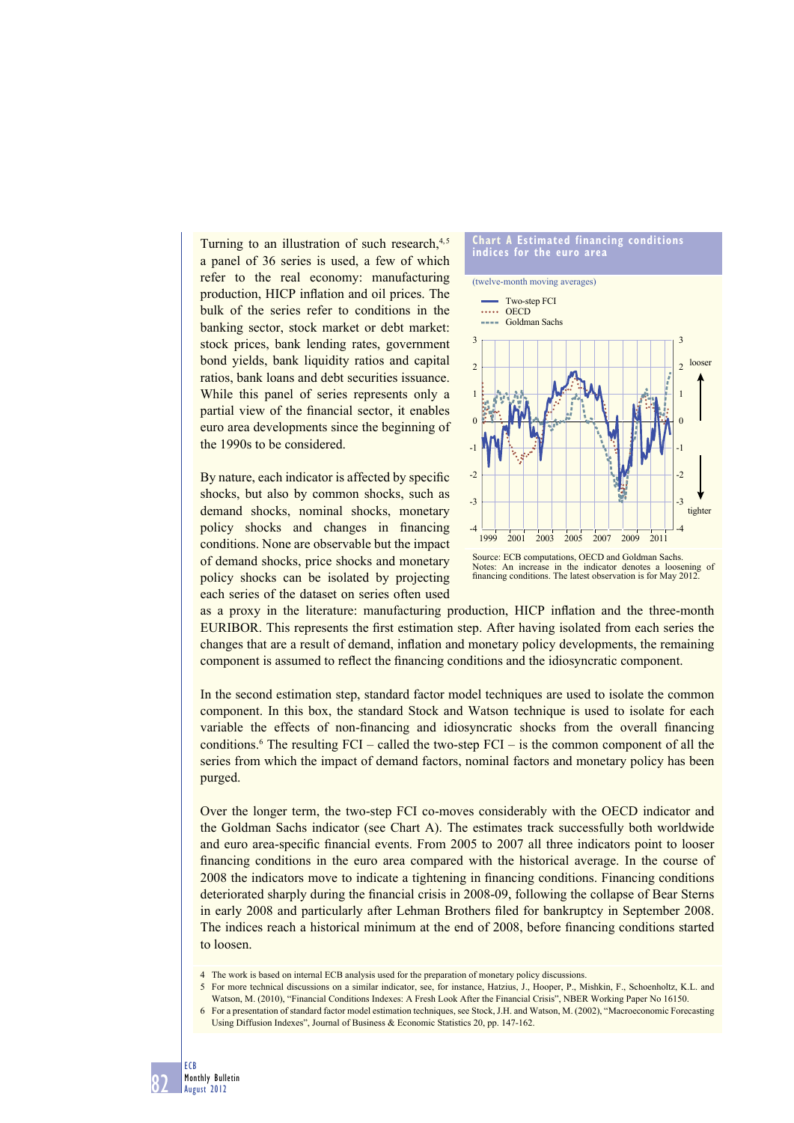Turning to an illustration of such research, $4,5$ a panel of 36 series is used, a few of which refer to the real economy: manufacturing production, HICP inflation and oil prices. The bulk of the series refer to conditions in the banking sector, stock market or debt market: stock prices, bank lending rates, government bond yields, bank liquidity ratios and capital ratios, bank loans and debt securities issuance. While this panel of series represents only a partial view of the financial sector, it enables euro area developments since the beginning of the 1990s to be considered.

By nature, each indicator is affected by specific shocks, but also by common shocks, such as demand shocks, nominal shocks, monetary policy shocks and changes in financing conditions. None are observable but the impact of demand shocks, price shocks and monetary policy shocks can be isolated by projecting each series of the dataset on series often used



Notes: An increase in the indicator denotes a loosening of financing conditions. The latest observation is for May 2012.

as a proxy in the literature: manufacturing production, HICP inflation and the three-month EURIBOR. This represents the first estimation step. After having isolated from each series the changes that are a result of demand, inflation and monetary policy developments, the remaining component is assumed to reflect the financing conditions and the idiosyncratic component.

In the second estimation step, standard factor model techniques are used to isolate the common component. In this box, the standard Stock and Watson technique is used to isolate for each variable the effects of non-financing and idiosyncratic shocks from the overall financing conditions.<sup>6</sup> The resulting FCI – called the two-step FCI – is the common component of all the series from which the impact of demand factors, nominal factors and monetary policy has been purged.

Over the longer term, the two-step FCI co-moves considerably with the OECD indicator and the Goldman Sachs indicator (see Chart A). The estimates track successfully both worldwide and euro area-specific financial events. From 2005 to 2007 all three indicators point to looser financing conditions in the euro area compared with the historical average. In the course of 2008 the indicators move to indicate a tightening in financing conditions. Financing conditions deteriorated sharply during the financial crisis in 2008-09, following the collapse of Bear Sterns in early 2008 and particularly after Lehman Brothers filed for bankruptcy in September 2008. The indices reach a historical minimum at the end of 2008, before financing conditions started to loosen.

- 4 The work is based on internal ECB analysis used for the preparation of monetary policy discussions.
- 5 For more technical discussions on a similar indicator, see, for instance, Hatzius, J., Hooper, P., Mishkin, F., Schoenholtz, K.L. and Watson, M. (2010), "Financial Conditions Indexes: A Fresh Look After the Financial Crisis", NBER Working Paper No 16150.
- 6 For a presentation of standard factor model estimation techniques, see Stock, J.H. and Watson, M. (2002), "Macroeconomic Forecasting Using Diffusion Indexes", Journal of Business & Economic Statistics 20, pp. 147-162.

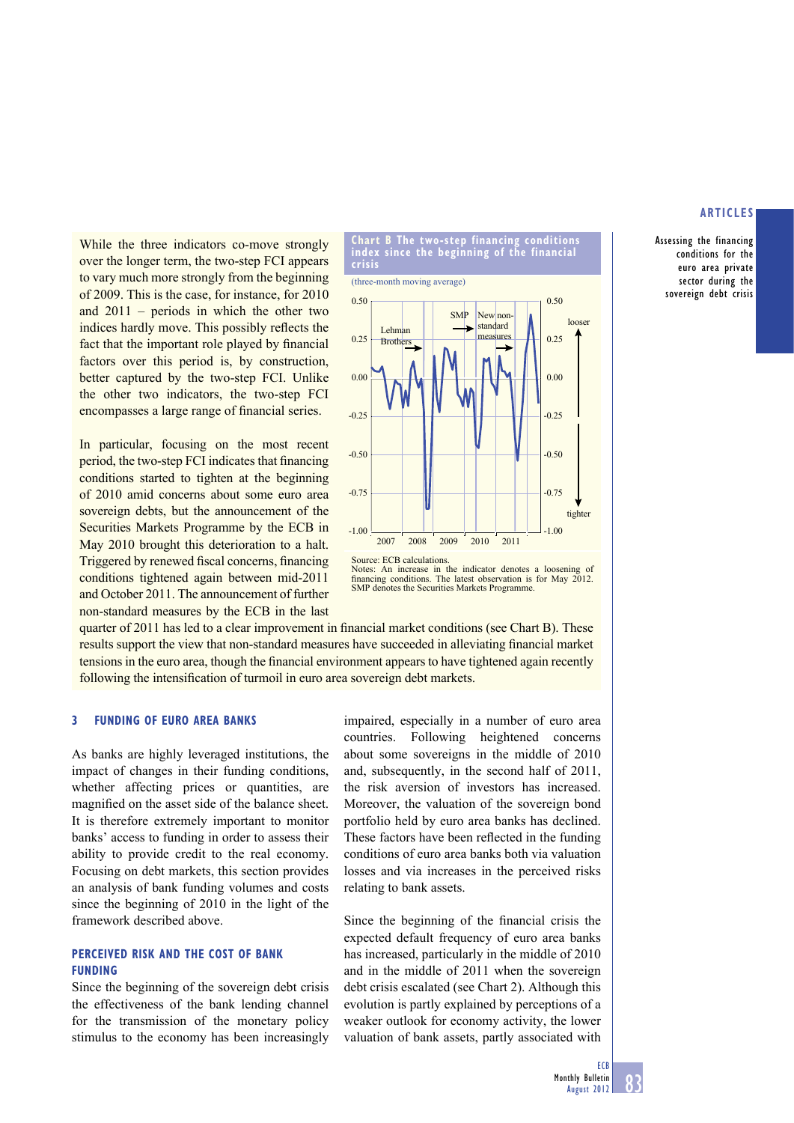Assessing the financing conditions for the euro area private sector during the sovereign debt crisis

While the three indicators co-move strongly over the longer term, the two-step FCI appears to vary much more strongly from the beginning of 2009. This is the case, for instance, for 2010 and 2011 – periods in which the other two indices hardly move. This possibly reflects the fact that the important role played by financial factors over this period is, by construction, better captured by the two-step FCI. Unlike the other two indicators, the two-step FCI encompasses a large range of financial series.

In particular, focusing on the most recent period, the two-step FCI indicates that financing conditions started to tighten at the beginning of 2010 amid concerns about some euro area sovereign debts, but the announcement of the Securities Markets Programme by the ECB in May 2010 brought this deterioration to a halt. Triggered by renewed fiscal concerns, financing conditions tightened again between mid-2011 and October 2011. The announcement of further non-standard measures by the ECB in the last





Source: ECB calculations Notes: An increase in the indicator denotes a loosening of financing conditions. The latest observation is for May 2012. SMP denotes the Securities Markets Programme.

quarter of 2011 has led to a clear improvement in financial market conditions (see Chart B). These results support the view that non-standard measures have succeeded in alleviating financial market tensions in the euro area, though the financial environment appears to have tightened again recently following the intensification of turmoil in euro area sovereign debt markets.

#### **3 FUNDING OF EURO AREA BANKS**

As banks are highly leveraged institutions, the impact of changes in their funding conditions, whether affecting prices or quantities, are magnified on the asset side of the balance sheet. It is therefore extremely important to monitor banks' access to funding in order to assess their ability to provide credit to the real economy. Focusing on debt markets, this section provides an analysis of bank funding volumes and costs since the beginning of 2010 in the light of the framework described above.

#### **PERCEIVED RISK AND THE COST OF BANK FUNDING**

Since the beginning of the sovereign debt crisis the effectiveness of the bank lending channel for the transmission of the monetary policy stimulus to the economy has been increasingly

impaired, especially in a number of euro area countries. Following heightened concerns about some sovereigns in the middle of 2010 and, subsequently, in the second half of 2011, the risk aversion of investors has increased. Moreover, the valuation of the sovereign bond portfolio held by euro area banks has declined. These factors have been reflected in the funding conditions of euro area banks both via valuation losses and via increases in the perceived risks relating to bank assets.

Since the beginning of the financial crisis the expected default frequency of euro area banks has increased, particularly in the middle of 2010 and in the middle of 2011 when the sovereign debt crisis escalated (see Chart 2). Although this evolution is partly explained by perceptions of a weaker outlook for economy activity, the lower valuation of bank assets, partly associated with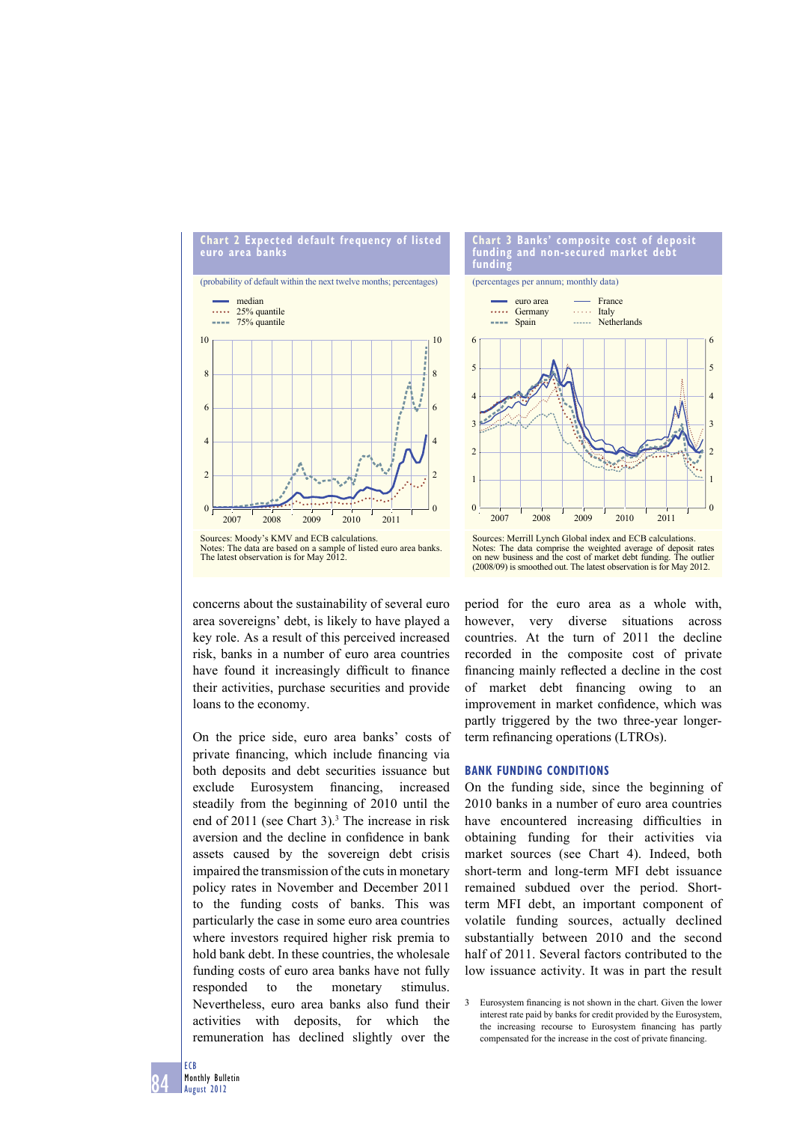



**Chart 3 Banks' composite cost of deposit funding and non-secured market debt funding**

(percentages per annum; monthly data)



Notes: The data comprise the weighted average of deposit rates on new business and the cost of market debt funding. The outlier (2008/09) is smoothed out. The latest observation is for May 2012.

concerns about the sustainability of several euro area sovereigns' debt, is likely to have played a key role. As a result of this perceived increased risk, banks in a number of euro area countries have found it increasingly difficult to finance their activities, purchase securities and provide loans to the economy.

On the price side, euro area banks' costs of private financing, which include financing via both deposits and debt securities issuance but exclude Eurosystem financing, increased steadily from the beginning of 2010 until the end of 2011 (see Chart 3).<sup>3</sup> The increase in risk aversion and the decline in confidence in bank assets caused by the sovereign debt crisis impaired the transmission of the cuts in monetary policy rates in November and December 2011 to the funding costs of banks. This was particularly the case in some euro area countries where investors required higher risk premia to hold bank debt. In these countries, the wholesale funding costs of euro area banks have not fully responded to the monetary stimulus. Nevertheless, euro area banks also fund their activities with deposits, for which the remuneration has declined slightly over the

period for the euro area as a whole with, however, very diverse situations across countries. At the turn of 2011 the decline recorded in the composite cost of private financing mainly reflected a decline in the cost of market debt financing owing to an improvement in market confidence, which was partly triggered by the two three-year longerterm refinancing operations (LTROs).

#### **BANK FUNDING CONDITIONS**

On the funding side, since the beginning of 2010 banks in a number of euro area countries have encountered increasing difficulties in obtaining funding for their activities via market sources (see Chart 4). Indeed, both short-term and long-term MFI debt issuance remained subdued over the period. Shortterm MFI debt, an important component of volatile funding sources, actually declined substantially between 2010 and the second half of 2011. Several factors contributed to the low issuance activity. It was in part the result

3 Eurosystem financing is not shown in the chart. Given the lower interest rate paid by banks for credit provided by the Eurosystem, the increasing recourse to Eurosystem financing has partly compensated for the increase in the cost of private financing.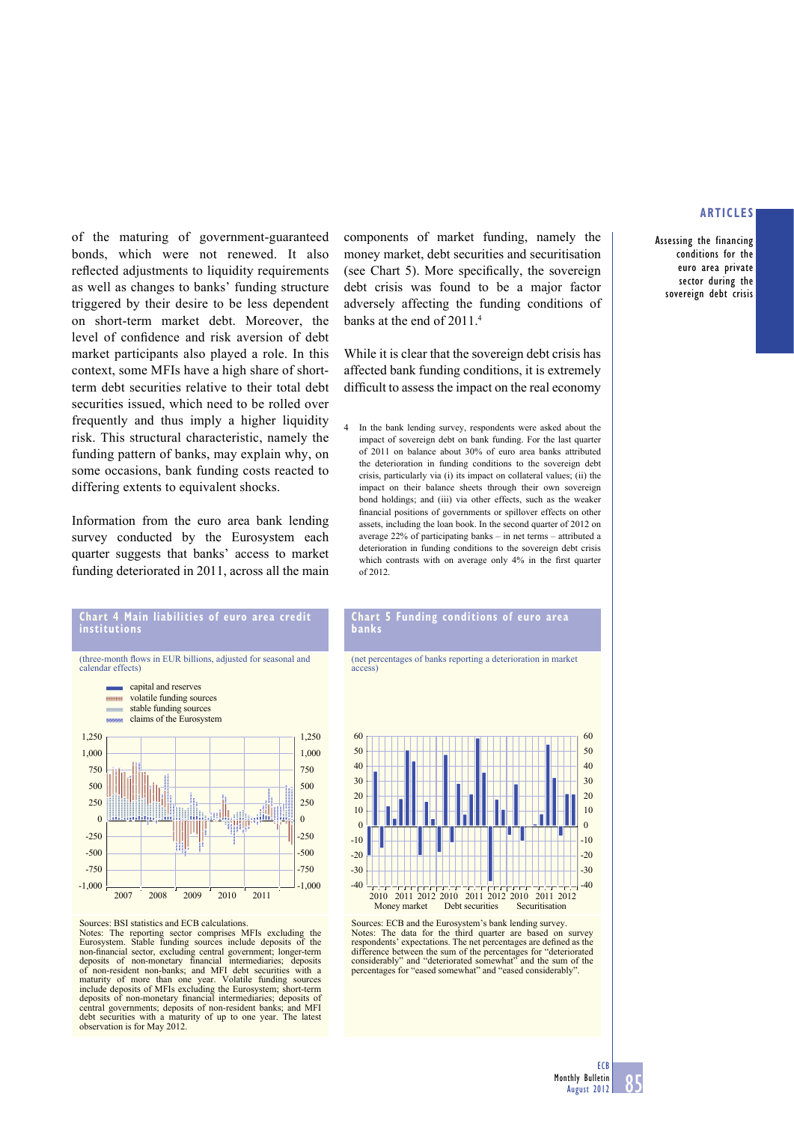Assessing the financing conditions for the euro area private sector during the sovereign debt crisis

of the maturing of government-guaranteed bonds, which were not renewed. It also reflected adjustments to liquidity requirements as well as changes to banks' funding structure triggered by their desire to be less dependent on short-term market debt. Moreover, the level of confidence and risk aversion of debt market participants also played a role. In this context, some MFIs have a high share of shortterm debt securities relative to their total debt securities issued, which need to be rolled over frequently and thus imply a higher liquidity risk. This structural characteristic, namely the funding pattern of banks, may explain why, on some occasions, bank funding costs reacted to differing extents to equivalent shocks.

Information from the euro area bank lending survey conducted by the Eurosystem each quarter suggests that banks' access to market funding deteriorated in 2011, across all the main components of market funding, namely the money market, debt securities and securitisation (see Chart 5). More specifically, the sovereign debt crisis was found to be a major factor adversely affecting the funding conditions of banks at the end of 2011.<sup>4</sup>

While it is clear that the sovereign debt crisis has affected bank funding conditions, it is extremely difficult to assess the impact on the real economy

4 In the bank lending survey, respondents were asked about the impact of sovereign debt on bank funding. For the last quarter of 2011 on balance about 30% of euro area banks attributed the deterioration in funding conditions to the sovereign debt crisis, particularly via (i) its impact on collateral values; (ii) the impact on their balance sheets through their own sovereign bond holdings; and (iii) via other effects, such as the weaker financial positions of governments or spillover effects on other assets, including the loan book. In the second quarter of 2012 on average 22% of participating banks – in net terms – attributed a deterioration in funding conditions to the sovereign debt crisis which contrasts with on average only 4% in the first quarter of 2012.





#### Sources: BSI statistics and ECB calculations.

Notes: The reporting sector comprises MFIs excluding the Eurosystem. Stable funding sources include deposits of the non-financial sector, excluding central government; longer-term<br>deposits of non-monetary financial intermediaries; deposits<br>of non-resident non-banks; and MFI debt securities with a maturity of more than one year. Volatile funding sources include deposits of MFIs excluding the Eurosystem; short-term deposits of non-monetary financial intermediaries; deposits of central governments; deposits of non-resident banks; and MFI curities with a maturity of up to one year. The latest observation is for May 2012.

#### **Chart 5 Funding conditions of euro area banks**

(net percentages of banks reporting a deterioration in market access)



Sources: ECB and the Eurosystem's bank lending survey. Notes: The data for the third quarter are based on survey respondents' expectations. The net percentages are defined as the difference between the sum of the percentages for "deteriorated considerably" and "deteriorated somewhat" and the sum of the percentages for "eased somewhat" and "eased considerably".

ECB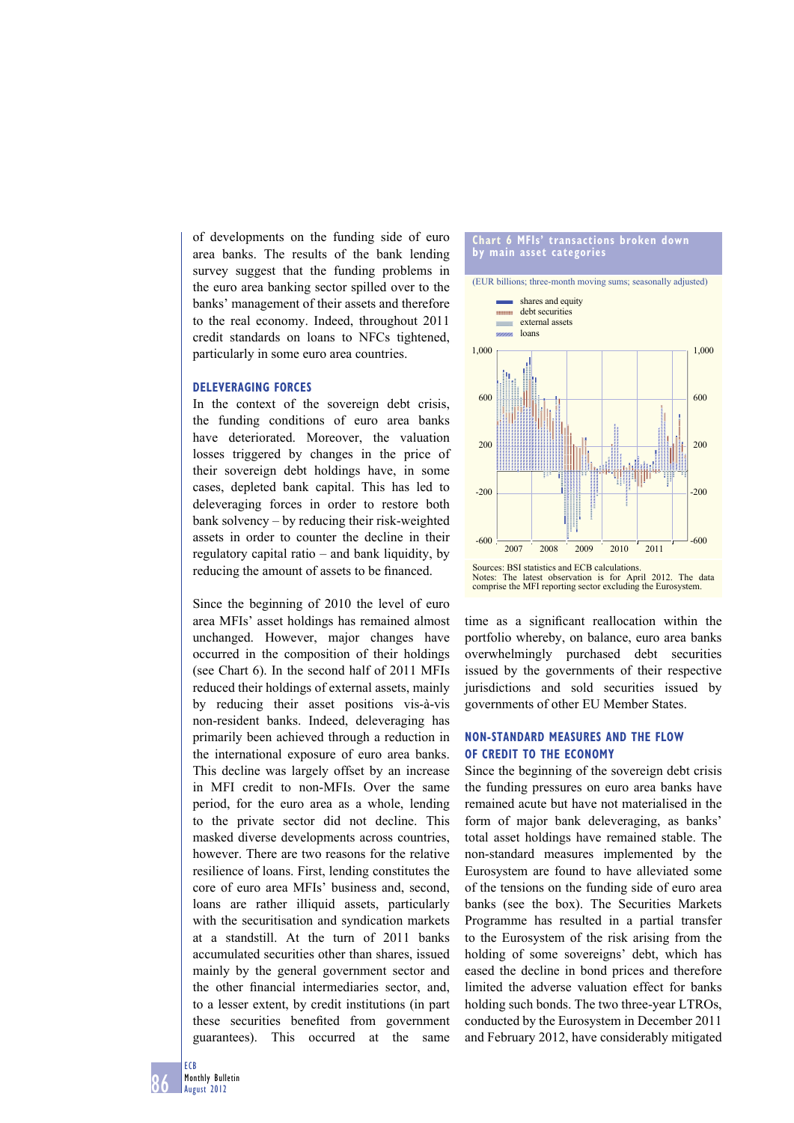of developments on the funding side of euro area banks. The results of the bank lending survey suggest that the funding problems in the euro area banking sector spilled over to the banks' management of their assets and therefore to the real economy. Indeed, throughout 2011 credit standards on loans to NFCs tightened, particularly in some euro area countries.

#### **DELEVERAGING FORCES**

In the context of the sovereign debt crisis, the funding conditions of euro area banks have deteriorated. Moreover, the valuation losses triggered by changes in the price of their sovereign debt holdings have, in some cases, depleted bank capital. This has led to deleveraging forces in order to restore both bank solvency – by reducing their risk-weighted assets in order to counter the decline in their regulatory capital ratio – and bank liquidity, by reducing the amount of assets to be financed.

Since the beginning of 2010 the level of euro area MFIs' asset holdings has remained almost unchanged. However, major changes have occurred in the composition of their holdings (see Chart 6). In the second half of 2011 MFIs reduced their holdings of external assets, mainly by reducing their asset positions vis-à-vis non-resident banks. Indeed, deleveraging has primarily been achieved through a reduction in the international exposure of euro area banks. This decline was largely offset by an increase in MFI credit to non-MFIs. Over the same period, for the euro area as a whole, lending to the private sector did not decline. This masked diverse developments across countries, however. There are two reasons for the relative resilience of loans. First, lending constitutes the core of euro area MFIs' business and, second, loans are rather illiquid assets, particularly with the securitisation and syndication markets at a standstill. At the turn of 2011 banks accumulated securities other than shares, issued mainly by the general government sector and the other financial intermediaries sector, and, to a lesser extent, by credit institutions (in part these securities benefited from government guarantees). This occurred at the same

#### **Chart 6 MFIs' transactions broken down by main asset categories**

(EUR billions; three-month moving sums; seasonally adjusted)



time as a significant reallocation within the portfolio whereby, on balance, euro area banks overwhelmingly purchased debt securities issued by the governments of their respective jurisdictions and sold securities issued by governments of other EU Member States.

## **NON-STANDARD MEASURES AND THE FLOW OF CREDIT TO THE ECONOMY**

Since the beginning of the sovereign debt crisis the funding pressures on euro area banks have remained acute but have not materialised in the form of major bank deleveraging, as banks' total asset holdings have remained stable. The non-standard measures implemented by the Eurosystem are found to have alleviated some of the tensions on the funding side of euro area banks (see the box). The Securities Markets Programme has resulted in a partial transfer to the Eurosystem of the risk arising from the holding of some sovereigns' debt, which has eased the decline in bond prices and therefore limited the adverse valuation effect for banks holding such bonds. The two three-year LTROs, conducted by the Eurosystem in December 2011 and February 2012, have considerably mitigated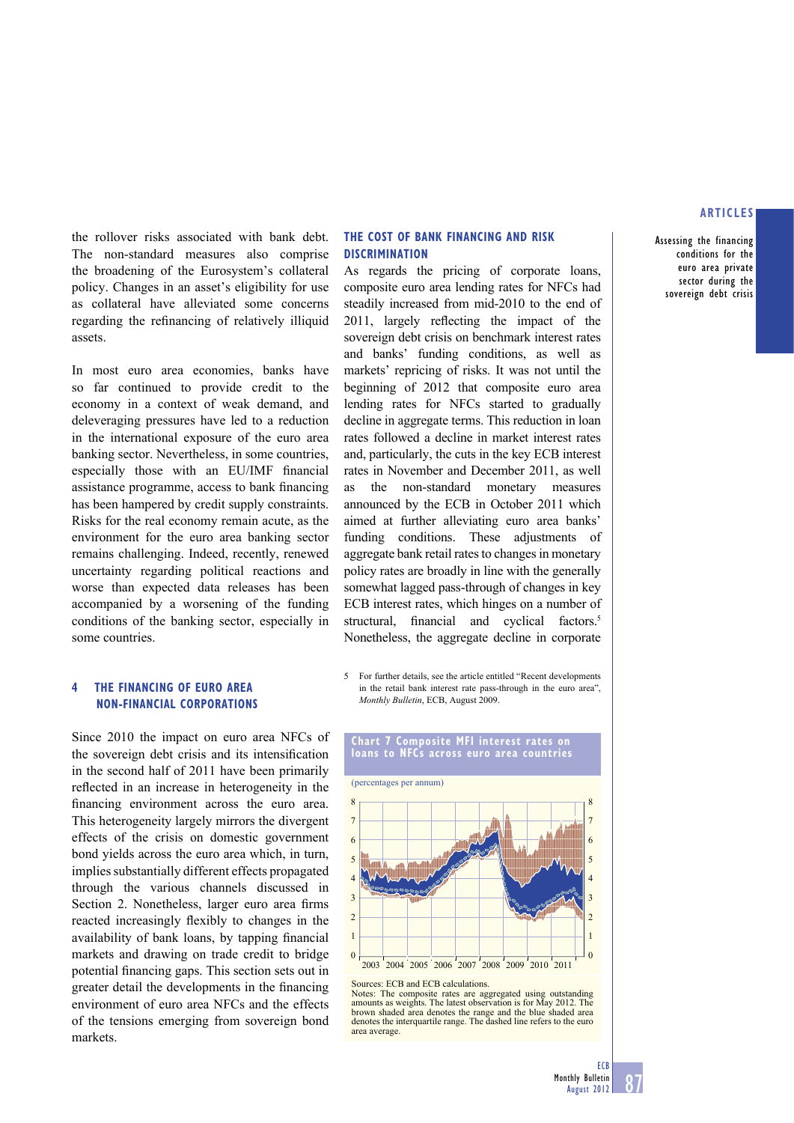Assessing the financing conditions for the euro area private sector during the sovereign debt crisis

the rollover risks associated with bank debt. The non-standard measures also comprise the broadening of the Eurosystem's collateral policy. Changes in an asset's eligibility for use as collateral have alleviated some concerns regarding the refinancing of relatively illiquid assets.

In most euro area economies, banks have so far continued to provide credit to the economy in a context of weak demand, and deleveraging pressures have led to a reduction in the international exposure of the euro area banking sector. Nevertheless, in some countries, especially those with an EU/IMF financial assistance programme, access to bank financing has been hampered by credit supply constraints. Risks for the real economy remain acute, as the environment for the euro area banking sector remains challenging. Indeed, recently, renewed uncertainty regarding political reactions and worse than expected data releases has been accompanied by a worsening of the funding conditions of the banking sector, especially in some countries.

#### **4 THE FINANCING OF EURO AREA NON-FINANCIAL CORPORATIONS**

Since 2010 the impact on euro area NFCs of the sovereign debt crisis and its intensification in the second half of 2011 have been primarily reflected in an increase in heterogeneity in the financing environment across the euro area. This heterogeneity largely mirrors the divergent effects of the crisis on domestic government bond yields across the euro area which, in turn, implies substantially different effects propagated through the various channels discussed in Section 2. Nonetheless, larger euro area firms reacted increasingly flexibly to changes in the availability of bank loans, by tapping financial markets and drawing on trade credit to bridge potential financing gaps. This section sets out in greater detail the developments in the financing environment of euro area NFCs and the effects of the tensions emerging from sovereign bond markets.

#### **THE COST OF BANK FINANCING AND RISK DISCRIMINATION**

As regards the pricing of corporate loans, composite euro area lending rates for NFCs had steadily increased from mid-2010 to the end of 2011, largely reflecting the impact of the sovereign debt crisis on benchmark interest rates and banks' funding conditions, as well as markets' repricing of risks. It was not until the beginning of 2012 that composite euro area lending rates for NFCs started to gradually decline in aggregate terms. This reduction in loan rates followed a decline in market interest rates and, particularly, the cuts in the key ECB interest rates in November and December 2011, as well as the non-standard monetary measures announced by the ECB in October 2011 which aimed at further alleviating euro area banks' funding conditions. These adjustments of aggregate bank retail rates to changes in monetary policy rates are broadly in line with the generally somewhat lagged pass-through of changes in key ECB interest rates, which hinges on a number of structural, financial and cyclical factors.<sup>5</sup> Nonetheless, the aggregate decline in corporate

5 For further details, see the article entitled "Recent developments in the retail bank interest rate pass-through in the euro area", *Monthly Bulletin*, ECB, August 2009.





Notes: The composite rates are aggregated using outstanding amounts as weights. The latest observation is for May 2012. The brown shaded area denotes the range and the blue shaded area denotes the interquartile range. The dashed line refers to the euro area average.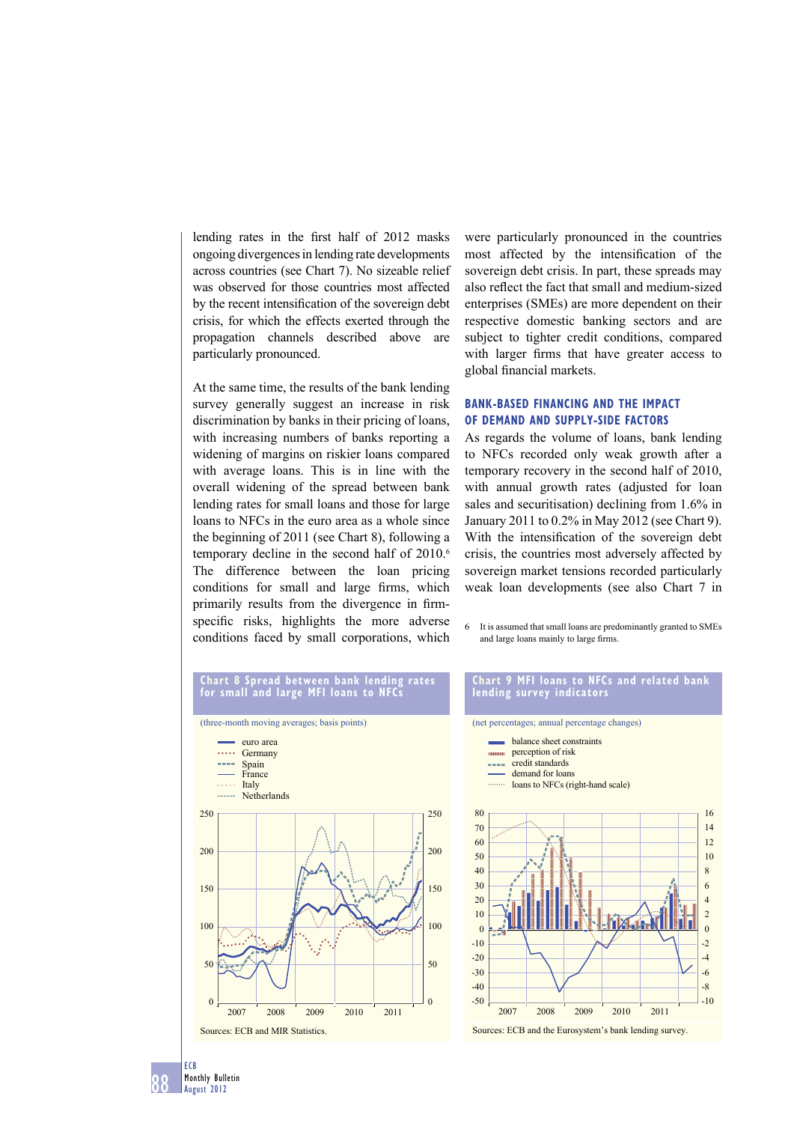lending rates in the first half of 2012 masks ongoing divergences in lending rate developments across countries (see Chart 7). No sizeable relief was observed for those countries most affected by the recent intensification of the sovereign debt crisis, for which the effects exerted through the propagation channels described above are particularly pronounced.

At the same time, the results of the bank lending survey generally suggest an increase in risk discrimination by banks in their pricing of loans, with increasing numbers of banks reporting a widening of margins on riskier loans compared with average loans. This is in line with the overall widening of the spread between bank lending rates for small loans and those for large loans to NFCs in the euro area as a whole since the beginning of 2011 (see Chart 8), following a temporary decline in the second half of 2010.<sup>6</sup> The difference between the loan pricing conditions for small and large firms, which primarily results from the divergence in firmspecific risks, highlights the more adverse conditions faced by small corporations, which

were particularly pronounced in the countries most affected by the intensification of the sovereign debt crisis. In part, these spreads may also reflect the fact that small and medium-sized enterprises (SMEs) are more dependent on their respective domestic banking sectors and are subject to tighter credit conditions, compared with larger firms that have greater access to global financial markets.

## **BANK-BASED FINANCING AND THE IMPACT OF DEMAND AND SUPPLY-SIDE FACTORS**

As regards the volume of loans, bank lending to NFCs recorded only weak growth after a temporary recovery in the second half of 2010, with annual growth rates (adjusted for loan sales and securitisation) declining from 1.6% in January 2011 to 0.2% in May 2012 (see Chart 9). With the intensification of the sovereign debt crisis, the countries most adversely affected by sovereign market tensions recorded particularly weak loan developments (see also Chart 7 in

6 It is assumed that small loans are predominantly granted to SMEs and large loans mainly to large firms.

#### **Chart 8 Spread between bank lending rates for small and large MFI loans to NFCs**



#### **Chart 9 MFI loans to NFCs and related bank lending survey indicators**



Sources: ECB and the Eurosystem's bank lending survey.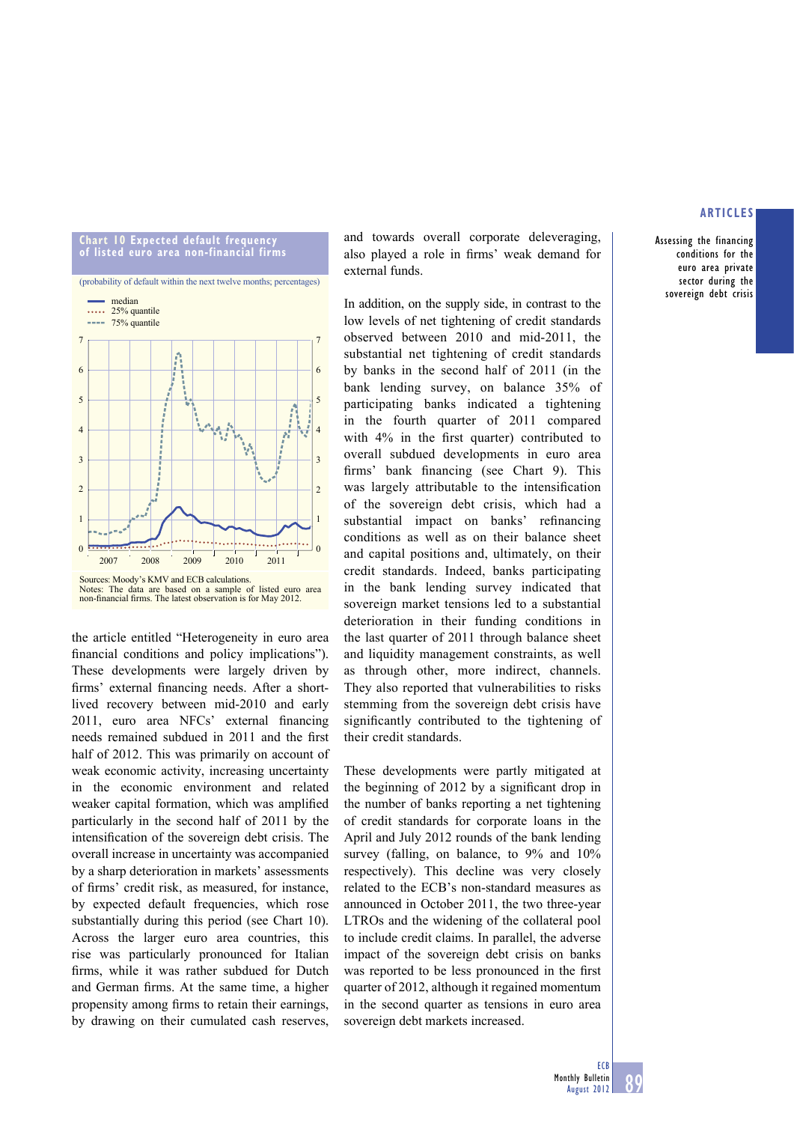#### **Chart 10 Expected default frequency of listed euro area non-financial firms**





Sources: Moody's KMV and ECB calculations. Notes: The data are based on a sample of listed euro area non-financial firms. The latest observation is for May 2012.

the article entitled "Heterogeneity in euro area financial conditions and policy implications"). These developments were largely driven by firms' external financing needs. After a shortlived recovery between mid-2010 and early 2011, euro area NFCs' external financing needs remained subdued in 2011 and the first half of 2012. This was primarily on account of weak economic activity, increasing uncertainty in the economic environment and related weaker capital formation, which was amplified particularly in the second half of 2011 by the intensification of the sovereign debt crisis. The overall increase in uncertainty was accompanied by a sharp deterioration in markets' assessments of firms' credit risk, as measured, for instance, by expected default frequencies, which rose substantially during this period (see Chart 10). Across the larger euro area countries, this rise was particularly pronounced for Italian firms, while it was rather subdued for Dutch and German firms. At the same time, a higher propensity among firms to retain their earnings, by drawing on their cumulated cash reserves,

and towards overall corporate deleveraging, also played a role in firms' weak demand for external funds.

In addition, on the supply side, in contrast to the low levels of net tightening of credit standards observed between 2010 and mid-2011, the substantial net tightening of credit standards by banks in the second half of 2011 (in the bank lending survey, on balance 35% of participating banks indicated a tightening in the fourth quarter of 2011 compared with  $4\%$  in the first quarter) contributed to overall subdued developments in euro area firms' bank financing (see Chart 9). This was largely attributable to the intensification of the sovereign debt crisis, which had a substantial impact on banks' refinancing conditions as well as on their balance sheet and capital positions and, ultimately, on their credit standards. Indeed, banks participating in the bank lending survey indicated that sovereign market tensions led to a substantial deterioration in their funding conditions in the last quarter of 2011 through balance sheet and liquidity management constraints, as well as through other, more indirect, channels. They also reported that vulnerabilities to risks stemming from the sovereign debt crisis have significantly contributed to the tightening of their credit standards.

These developments were partly mitigated at the beginning of  $2012$  by a significant drop in the number of banks reporting a net tightening of credit standards for corporate loans in the April and July 2012 rounds of the bank lending survey (falling, on balance, to 9% and 10% respectively). This decline was very closely related to the ECB's non-standard measures as announced in October 2011, the two three-year LTROs and the widening of the collateral pool to include credit claims. In parallel, the adverse impact of the sovereign debt crisis on banks was reported to be less pronounced in the first quarter of 2012, although it regained momentum in the second quarter as tensions in euro area sovereign debt markets increased.

## **ARTICLES**

Assessing the financing conditions for the euro area private sector during the sovereign debt crisis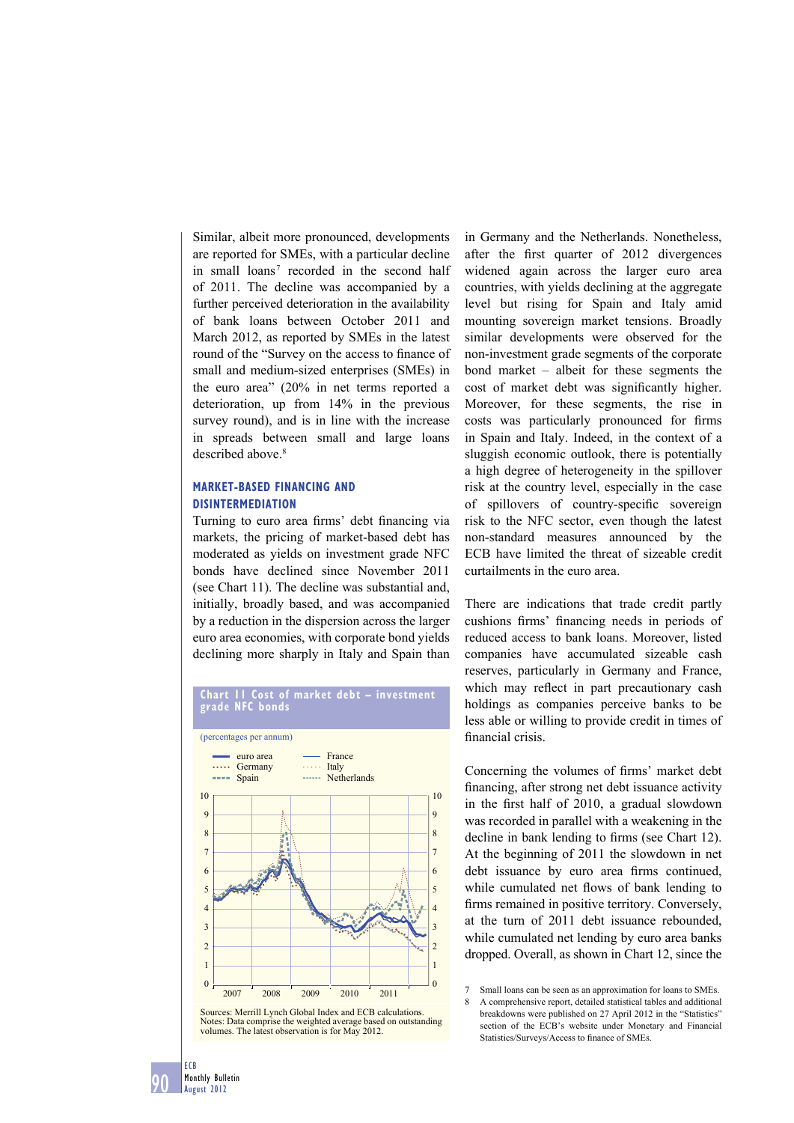Similar, albeit more pronounced, developments are reported for SMEs, with a particular decline in small loans<sup>7</sup> recorded in the second half of 2011. The decline was accompanied by a further perceived deterioration in the availability of bank loans between October 2011 and March 2012, as reported by SMEs in the latest round of the "Survey on the access to finance of small and medium-sized enterprises (SMEs) in the euro area" (20% in net terms reported a deterioration, up from 14% in the previous survey round), and is in line with the increase in spreads between small and large loans described above<sup>8</sup>

## **MARKET-BASED FINANCING AND DISINTERMEDIATION**

Turning to euro area firms' debt financing via markets, the pricing of market-based debt has moderated as yields on investment grade NFC bonds have declined since November 2011 (see Chart 11). The decline was substantial and, initially, broadly based, and was accompanied by a reduction in the dispersion across the larger euro area economies, with corporate bond yields declining more sharply in Italy and Spain than



Sources: Merrill Lynch Global Index and ECB calculations. Notes: Data comprise the weighted average based on outstanding volumes. The latest observation is for May 2012.

in Germany and the Netherlands. Nonetheless, after the first quarter of 2012 divergences widened again across the larger euro area countries, with yields declining at the aggregate level but rising for Spain and Italy amid mounting sovereign market tensions. Broadly similar developments were observed for the non-investment grade segments of the corporate bond market – albeit for these segments the cost of market debt was significantly higher. Moreover, for these segments, the rise in costs was particularly pronounced for firms in Spain and Italy. Indeed, in the context of a sluggish economic outlook, there is potentially a high degree of heterogeneity in the spillover risk at the country level, especially in the case of spillovers of country-specific sovereign risk to the NFC sector, even though the latest non-standard measures announced by the ECB have limited the threat of sizeable credit curtailments in the euro area.

There are indications that trade credit partly cushions firms' financing needs in periods of reduced access to bank loans. Moreover, listed companies have accumulated sizeable cash reserves, particularly in Germany and France, which may reflect in part precautionary cash holdings as companies perceive banks to be less able or willing to provide credit in times of financial crisis.

Concerning the volumes of firms' market debt financing, after strong net debt issuance activity in the first half of 2010, a gradual slowdown was recorded in parallel with a weakening in the decline in bank lending to firms (see Chart 12). At the beginning of 2011 the slowdown in net debt issuance by euro area firms continued, while cumulated net flows of bank lending to firms remained in positive territory. Conversely, at the turn of 2011 debt issuance rebounded, while cumulated net lending by euro area banks dropped. Overall, as shown in Chart 12, since the

ECB

<sup>7</sup> Small loans can be seen as an approximation for loans to SMEs.

<sup>8</sup> A comprehensive report, detailed statistical tables and additional breakdowns were published on 27 April 2012 in the "Statistics" section of the ECB's website under Monetary and Financial Statistics/Surveys/Access to finance of SMEs.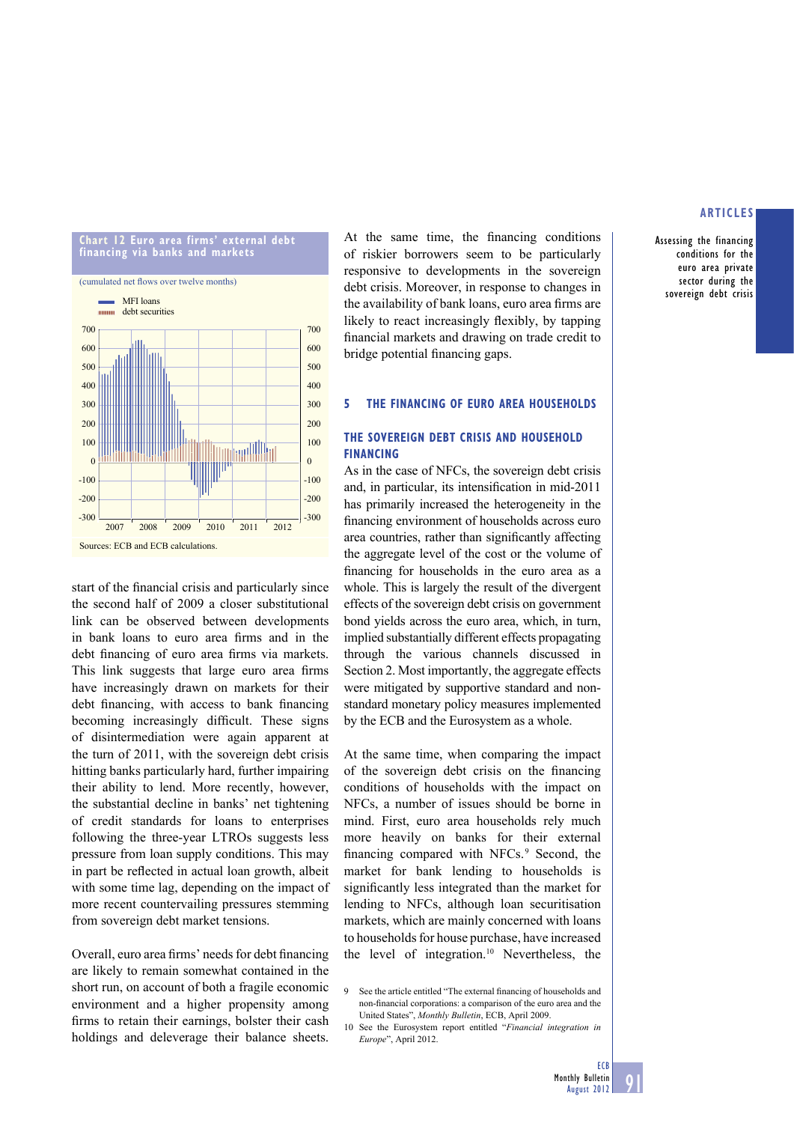

start of the financial crisis and particularly since the second half of 2009 a closer substitutional link can be observed between developments in bank loans to euro area firms and in the debt financing of euro area firms via markets. This link suggests that large euro area firms have increasingly drawn on markets for their debt financing, with access to bank financing becoming increasingly difficult. These signs of disintermediation were again apparent at the turn of 2011, with the sovereign debt crisis hitting banks particularly hard, further impairing their ability to lend. More recently, however, the substantial decline in banks' net tightening of credit standards for loans to enterprises following the three-year LTROs suggests less pressure from loan supply conditions. This may in part be reflected in actual loan growth, albeit with some time lag, depending on the impact of more recent countervailing pressures stemming from sovereign debt market tensions.

Overall, euro area firms' needs for debt financing are likely to remain somewhat contained in the short run, on account of both a fragile economic environment and a higher propensity among firms to retain their earnings, bolster their cash holdings and deleverage their balance sheets.

At the same time, the financing conditions of riskier borrowers seem to be particularly responsive to developments in the sovereign debt crisis. Moreover, in response to changes in the availability of bank loans, euro area firms are likely to react increasingly flexibly, by tapping financial markets and drawing on trade credit to bridge potential financing gaps.

#### **5 THE FINANCING OF EURO AREA HOUSEHOLDS**

## **THE SOVEREIGN DEBT CRISIS AND HOUSEHOLD FINANCING**

As in the case of NFCs, the sovereign debt crisis and, in particular, its intensification in mid-2011 has primarily increased the heterogeneity in the financing environment of households across euro area countries, rather than significantly affecting the aggregate level of the cost or the volume of financing for households in the euro area as a whole. This is largely the result of the divergent effects of the sovereign debt crisis on government bond yields across the euro area, which, in turn, implied substantially different effects propagating through the various channels discussed in Section 2. Most importantly, the aggregate effects were mitigated by supportive standard and nonstandard monetary policy measures implemented by the ECB and the Eurosystem as a whole.

At the same time, when comparing the impact of the sovereign debt crisis on the financing conditions of households with the impact on NFCs, a number of issues should be borne in mind. First, euro area households rely much more heavily on banks for their external financing compared with NFCs.<sup>9</sup> Second, the market for bank lending to households is significantly less integrated than the market for lending to NFCs, although loan securitisation markets, which are mainly concerned with loans to households for house purchase, have increased the level of integration.10 Nevertheless, the

9 See the article entitled "The external financing of households and non-financial corporations: a comparison of the euro area and the United States", *Monthly Bulletin*, ECB, April 2009.

10 See the Eurosystem report entitled "*Financial integration in Europe*", April 2012.

#### **ARTICLES**

Assessing the financing conditions for the euro area private sector during the sovereign debt crisis

ECB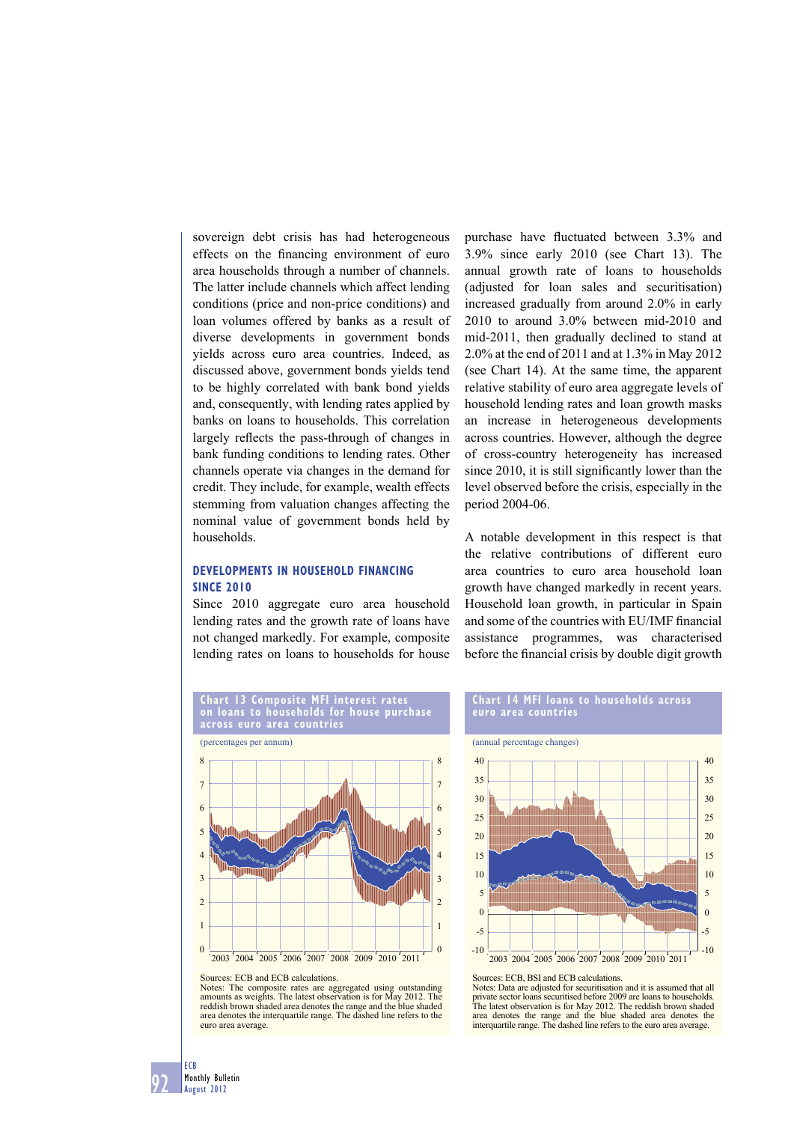sovereign debt crisis has had heterogeneous effects on the financing environment of euro area households through a number of channels. The latter include channels which affect lending conditions (price and non-price conditions) and loan volumes offered by banks as a result of diverse developments in government bonds yields across euro area countries. Indeed, as discussed above, government bonds yields tend to be highly correlated with bank bond yields and, consequently, with lending rates applied by banks on loans to households. This correlation largely reflects the pass-through of changes in bank funding conditions to lending rates. Other channels operate via changes in the demand for credit. They include, for example, wealth effects stemming from valuation changes affecting the nominal value of government bonds held by households.

## **DEVELOPMENTS IN HOUSEHOLD FINANCING SINCE 2010**

Since 2010 aggregate euro area household lending rates and the growth rate of loans have not changed markedly. For example, composite lending rates on loans to households for house

purchase have fluctuated between 3.3% and 3.9% since early 2010 (see Chart 13). The annual growth rate of loans to households (adjusted for loan sales and securitisation) increased gradually from around 2.0% in early 2010 to around 3.0% between mid-2010 and mid-2011, then gradually declined to stand at 2.0% at the end of 2011 and at 1.3% in May 2012 (see Chart 14). At the same time, the apparent relative stability of euro area aggregate levels of household lending rates and loan growth masks an increase in heterogeneous developments across countries. However, although the degree of cross-country heterogeneity has increased since 2010, it is still significantly lower than the level observed before the crisis, especially in the period 2004-06.

A notable development in this respect is that the relative contributions of different euro area countries to euro area household loan growth have changed markedly in recent years. Household loan growth, in particular in Spain and some of the countries with EU/IMF financial assistance programmes, was characterised before the financial crisis by double digit growth



## **Chart 14 MFI loans to households across euro area countries**



Sources: ECB, BSI and ECB calculations.

Notes: Data are adjusted for securitisation and it is assumed that all private sector loans securitised before 2009 are loans to households. The latest observation is for May 2012. The reddish brown shaded area denotes the range and the blue shaded area denotes the interquartile range. The dashed line refers to the euro area average.

Sources: ECB and ECB calculations.

Notes: The composite rates are aggregated using outstanding amounts as weights. The latest observation is for May 2012. The reddish brown shaded area denotes the range and the blue shaded area denotes the interquartile range. The dashed line refers to the euro area average.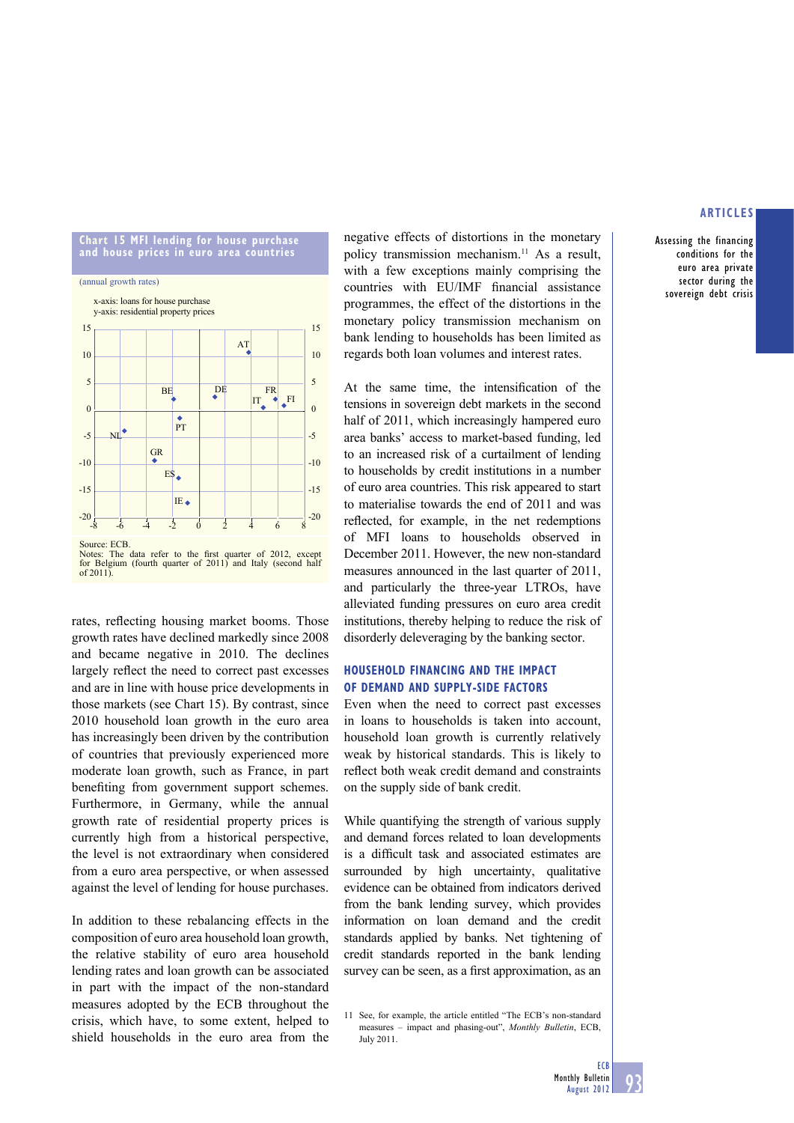

Source: ECB.<br>Notes: The data refer to the first quarter of 2012, except for Belgium (fourth quarter of 2011) and Italy (second half  $\overline{0f}$  2011)

rates, reflecting housing market booms. Those growth rates have declined markedly since 2008 and became negative in 2010. The declines largely reflect the need to correct past excesses and are in line with house price developments in those markets (see Chart 15). By contrast, since 2010 household loan growth in the euro area has increasingly been driven by the contribution of countries that previously experienced more moderate loan growth, such as France, in part benefiting from government support schemes. Furthermore, in Germany, while the annual growth rate of residential property prices is currently high from a historical perspective, the level is not extraordinary when considered from a euro area perspective, or when assessed against the level of lending for house purchases.

In addition to these rebalancing effects in the composition of euro area household loan growth, the relative stability of euro area household lending rates and loan growth can be associated in part with the impact of the non-standard measures adopted by the ECB throughout the crisis, which have, to some extent, helped to shield households in the euro area from the negative effects of distortions in the monetary policy transmission mechanism.<sup>11</sup> As a result, with a few exceptions mainly comprising the countries with EU/IMF financial assistance programmes, the effect of the distortions in the monetary policy transmission mechanism on bank lending to households has been limited as regards both loan volumes and interest rates.

At the same time, the intensification of the tensions in sovereign debt markets in the second half of 2011, which increasingly hampered euro area banks' access to market-based funding, led to an increased risk of a curtailment of lending to households by credit institutions in a number of euro area countries. This risk appeared to start to materialise towards the end of 2011 and was reflected, for example, in the net redemptions of MFI loans to households observed in December 2011. However, the new non-standard measures announced in the last quarter of 2011, and particularly the three-year LTROs, have alleviated funding pressures on euro area credit institutions, thereby helping to reduce the risk of disorderly deleveraging by the banking sector.

## **HOUSEHOLD FINANCING AND THE IMPACT OF DEMAND AND SUPPLY-SIDE FACTORS**

Even when the need to correct past excesses in loans to households is taken into account, household loan growth is currently relatively weak by historical standards. This is likely to reflect both weak credit demand and constraints on the supply side of bank credit.

While quantifying the strength of various supply and demand forces related to loan developments is a difficult task and associated estimates are surrounded by high uncertainty, qualitative evidence can be obtained from indicators derived from the bank lending survey, which provides information on loan demand and the credit standards applied by banks. Net tightening of credit standards reported in the bank lending survey can be seen, as a first approximation, as an

11 See, for example, the article entitled "The ECB's non-standard measures – impact and phasing-out", *Monthly Bulletin*, ECB, July 2011.

## **ARTICLES**

Assessing the financing conditions for the euro area private sector during the sovereign debt crisis

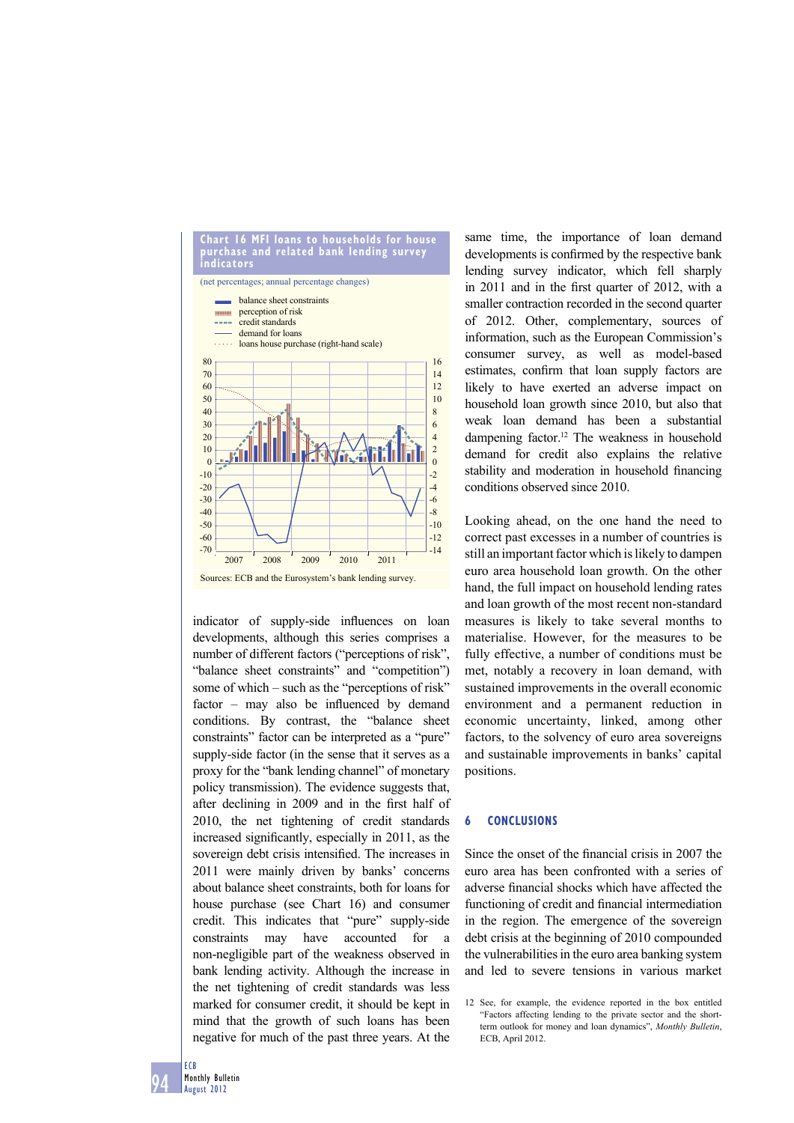

indicator of supply-side influences on loan developments, although this series comprises a number of different factors ("perceptions of risk", "balance sheet constraints" and "competition") some of which – such as the "perceptions of risk"  $factor$  – may also be influenced by demand conditions. By contrast, the "balance sheet constraints" factor can be interpreted as a "pure" supply-side factor (in the sense that it serves as a proxy for the "bank lending channel" of monetary policy transmission). The evidence suggests that, after declining in 2009 and in the first half of 2010, the net tightening of credit standards increased significantly, especially in 2011, as the sovereign debt crisis intensified. The increases in 2011 were mainly driven by banks' concerns about balance sheet constraints, both for loans for house purchase (see Chart 16) and consumer credit. This indicates that "pure" supply-side constraints may have accounted for a non-negligible part of the weakness observed in bank lending activity. Although the increase in the net tightening of credit standards was less marked for consumer credit, it should be kept in mind that the growth of such loans has been negative for much of the past three years. At the

same time, the importance of loan demand developments is confirmed by the respective bank lending survey indicator, which fell sharply in 2011 and in the first quarter of 2012, with a smaller contraction recorded in the second quarter of 2012. Other, complementary, sources of information, such as the European Commission's consumer survey, as well as model-based estimates, confirm that loan supply factors are likely to have exerted an adverse impact on household loan growth since 2010, but also that weak loan demand has been a substantial dampening factor.12 The weakness in household demand for credit also explains the relative stability and moderation in household financing conditions observed since 2010.

Looking ahead, on the one hand the need to correct past excesses in a number of countries is still an important factor which is likely to dampen euro area household loan growth. On the other hand, the full impact on household lending rates and loan growth of the most recent non-standard measures is likely to take several months to materialise. However, for the measures to be fully effective, a number of conditions must be met, notably a recovery in loan demand, with sustained improvements in the overall economic environment and a permanent reduction in economic uncertainty, linked, among other factors, to the solvency of euro area sovereigns and sustainable improvements in banks' capital positions.

#### **6 CONCLUSIONS**

Since the onset of the financial crisis in 2007 the euro area has been confronted with a series of adverse financial shocks which have affected the functioning of credit and financial intermediation in the region. The emergence of the sovereign debt crisis at the beginning of 2010 compounded the vulnerabilities in the euro area banking system and led to severe tensions in various market

<sup>12</sup> See, for example, the evidence reported in the box entitled "Factors affecting lending to the private sector and the shortterm outlook for money and loan dynamics", *Monthly Bulletin*, ECB, April 2012.